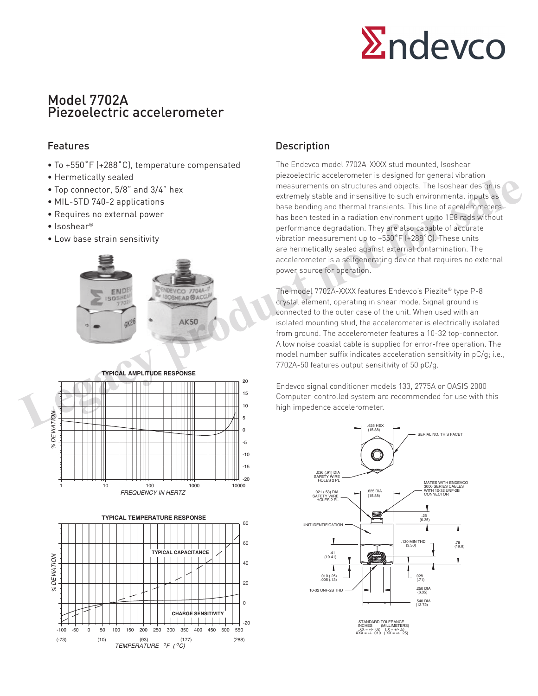

# Model 7702A Piezoelectric accelerometer

- To +550˚F (+288˚C), temperature compensated
- Hermetically sealed
- Top connector, 5/8" and 3/4" hex
- MIL-STD 740-2 applications
- Requires no external power
- Isoshear®
- Low base strain sensitivity







## Features **Description**

The Endevco model 7702A-XXXX stud mounted, Isoshear piezoelectric accelerometer is designed for general vibration measurements on structures and objects. The Isoshear design is extremely stable and insensitive to such environmental inputs as base bending and thermal transients. This line of accelerometers has been tested in a radiation environment up to 1E8 rads without performance degradation. They are also capable of accurate vibration measurement up to +550˚F (+288˚C). These units are hermetically sealed against external contamination. The accelerometer is a selfgenerating device that requires no external power source for operation. **Legacy and 3/4"** hex<br> **Legacy connector, 5/8"** and 3/4" hex<br> **Legacy productions**<br> **Legacy productions**<br> **Legacy productions**<br> **Legacy productions**<br> **Legacy productions**<br> **Legacy productions**<br> **Legacy productions**<br> **Legac** 

The model 7702A-XXXX features Endevco's Piezite® type P-8 crystal element, operating in shear mode. Signal ground is connected to the outer case of the unit. When used with an isolated mounting stud, the accelerometer is electrically isolated from ground. The accelerometer features a 10-32 top-connector. A low noise coaxial cable is supplied for error-free operation. The model number suffix indicates acceleration sensitivity in pC/g; i.e., 7702A-50 features output sensitivity of 50 pC/g.

Endevco signal conditioner models 133, 2775A or OASIS 2000 Computer-controlled system are recommended for use with this high impedence accelerometer.